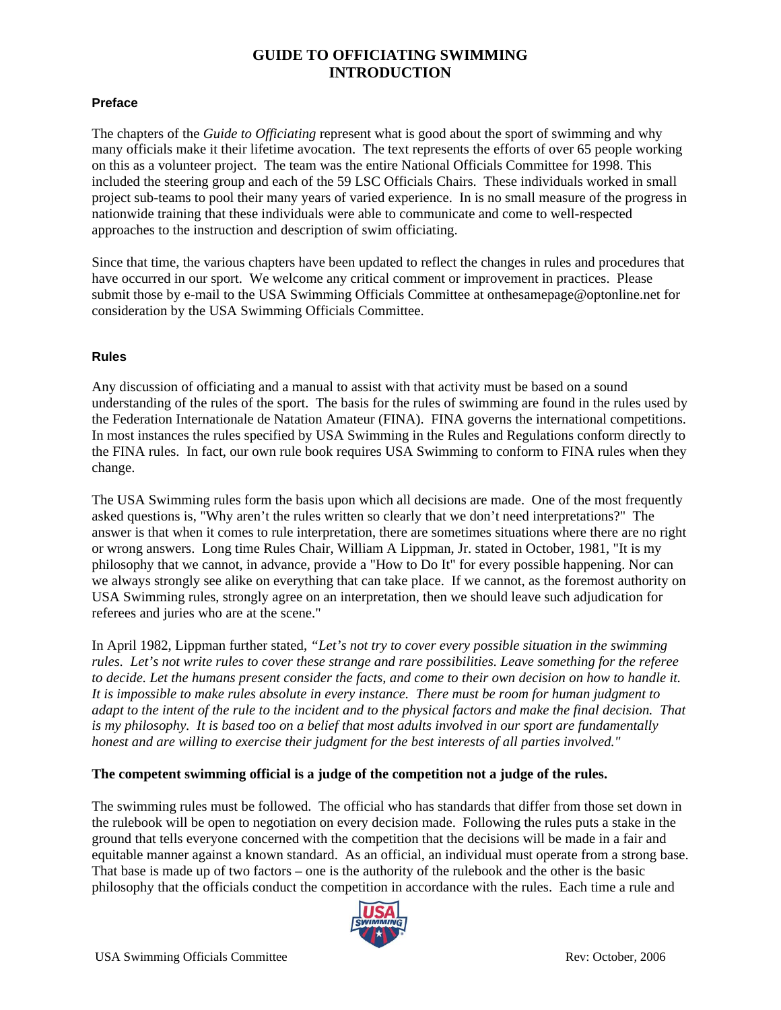# **GUIDE TO OFFICIATING SWIMMING INTRODUCTION**

#### **Preface**

The chapters of the *Guide to Officiating* represent what is good about the sport of swimming and why many officials make it their lifetime avocation. The text represents the efforts of over 65 people working on this as a volunteer project. The team was the entire National Officials Committee for 1998. This included the steering group and each of the 59 LSC Officials Chairs. These individuals worked in small project sub-teams to pool their many years of varied experience. In is no small measure of the progress in nationwide training that these individuals were able to communicate and come to well-respected approaches to the instruction and description of swim officiating.

Since that time, the various chapters have been updated to reflect the changes in rules and procedures that have occurred in our sport. We welcome any critical comment or improvement in practices. Please submit those by e-mail to the USA Swimming Officials Committee at onthesamepage@optonline.net for consideration by the USA Swimming Officials Committee.

### **Rules**

Any discussion of officiating and a manual to assist with that activity must be based on a sound understanding of the rules of the sport. The basis for the rules of swimming are found in the rules used by the Federation Internationale de Natation Amateur (FINA). FINA governs the international competitions. In most instances the rules specified by USA Swimming in the Rules and Regulations conform directly to the FINA rules. In fact, our own rule book requires USA Swimming to conform to FINA rules when they change.

The USA Swimming rules form the basis upon which all decisions are made. One of the most frequently asked questions is, "Why aren't the rules written so clearly that we don't need interpretations?" The answer is that when it comes to rule interpretation, there are sometimes situations where there are no right or wrong answers. Long time Rules Chair, William A Lippman, Jr. stated in October, 1981, "It is my philosophy that we cannot, in advance, provide a "How to Do It" for every possible happening. Nor can we always strongly see alike on everything that can take place. If we cannot, as the foremost authority on USA Swimming rules, strongly agree on an interpretation, then we should leave such adjudication for referees and juries who are at the scene."

In April 1982, Lippman further stated, *"Let's not try to cover every possible situation in the swimming rules. Let's not write rules to cover these strange and rare possibilities. Leave something for the referee to decide. Let the humans present consider the facts, and come to their own decision on how to handle it. It is impossible to make rules absolute in every instance. There must be room for human judgment to adapt to the intent of the rule to the incident and to the physical factors and make the final decision. That is my philosophy. It is based too on a belief that most adults involved in our sport are fundamentally honest and are willing to exercise their judgment for the best interests of all parties involved."* 

### **The competent swimming official is a judge of the competition not a judge of the rules.**

The swimming rules must be followed. The official who has standards that differ from those set down in the rulebook will be open to negotiation on every decision made. Following the rules puts a stake in the ground that tells everyone concerned with the competition that the decisions will be made in a fair and equitable manner against a known standard. As an official, an individual must operate from a strong base. That base is made up of two factors – one is the authority of the rulebook and the other is the basic philosophy that the officials conduct the competition in accordance with the rules. Each time a rule and